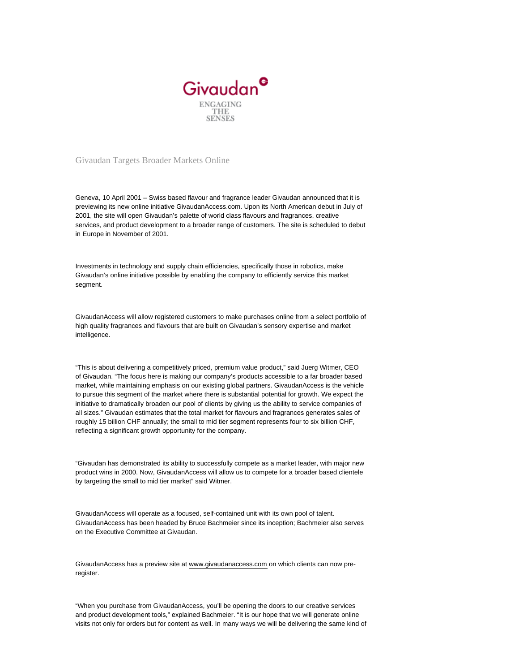

Givaudan Targets Broader Markets Online

Geneva, 10 April 2001 – Swiss based flavour and fragrance leader Givaudan announced that it is previewing its new online initiative GivaudanAccess.com. Upon its North American debut in July of 2001, the site will open Givaudan's palette of world class flavours and fragrances, creative services, and product development to a broader range of customers. The site is scheduled to debut in Europe in November of 2001.

Investments in technology and supply chain efficiencies, specifically those in robotics, make Givaudan's online initiative possible by enabling the company to efficiently service this market segment.

GivaudanAccess will allow registered customers to make purchases online from a select portfolio of high quality fragrances and flavours that are built on Givaudan's sensory expertise and market intelligence.

"This is about delivering a competitively priced, premium value product," said Juerg Witmer, CEO of Givaudan. "The focus here is making our company's products accessible to a far broader based market, while maintaining emphasis on our existing global partners. GivaudanAccess is the vehicle to pursue this segment of the market where there is substantial potential for growth. We expect the initiative to dramatically broaden our pool of clients by giving us the ability to service companies of all sizes." Givaudan estimates that the total market for flavours and fragrances generates sales of roughly 15 billion CHF annually; the small to mid tier segment represents four to six billion CHF, reflecting a significant growth opportunity for the company.

"Givaudan has demonstrated its ability to successfully compete as a market leader, with major new product wins in 2000. Now, GivaudanAccess will allow us to compete for a broader based clientele by targeting the small to mid tier market" said Witmer.

GivaudanAccess will operate as a focused, self-contained unit with its own pool of talent. GivaudanAccess has been headed by Bruce Bachmeier since its inception; Bachmeier also serves on the Executive Committee at Givaudan.

GivaudanAccess has a preview site at [www.givaudanaccess.com](http://www.givaudanaccess.com/) on which clients can now preregister.

"When you purchase from GivaudanAccess, you'll be opening the doors to our creative services and product development tools," explained Bachmeier. "It is our hope that we will generate online visits not only for orders but for content as well. In many ways we will be delivering the same kind of